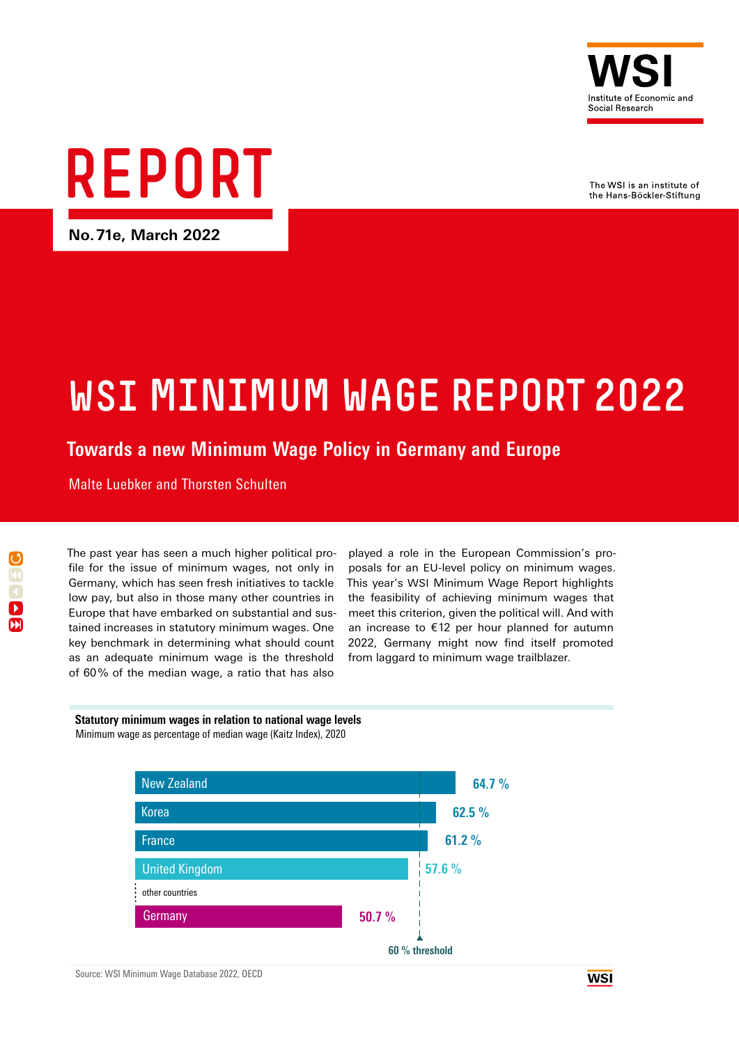

The WSI is an institute of the Hans-Böckler-Stiftung

# REPORT

**No.71e, March 2022**

## WSI MINIMUM WAGE REPORT 2022

## **Towards a new Minimum Wage Policy in Germany and Europe**

Malte Luebker and Thorsten Schulten

The past year has seen a much higher political profile for the issue of minimum wages, not only in Germany, which has seen fresh initiatives to tackle low pay, but also in those many other countries in Europe that have embarked on substantial and sustained increases in statutory minimum wages. One key benchmark in determining what should count as an adequate minimum wage is the threshold of 60% of the median wage, a ratio that has also

played a role in the European Commission's proposals for an EU-level policy on minimum wages. This year's WSI Minimum Wage Report highlights the feasibility of achieving minimum wages that meet this criterion, given the political will. And with an increase to €12 per hour planned for autumn 2022, Germany might now find itself promoted from laggard to minimum wage trailblazer.

#### **Statutory minimum wages in relation to national wage levels** Minimum wage as percentage of median wage (Kaitz Index), 2020

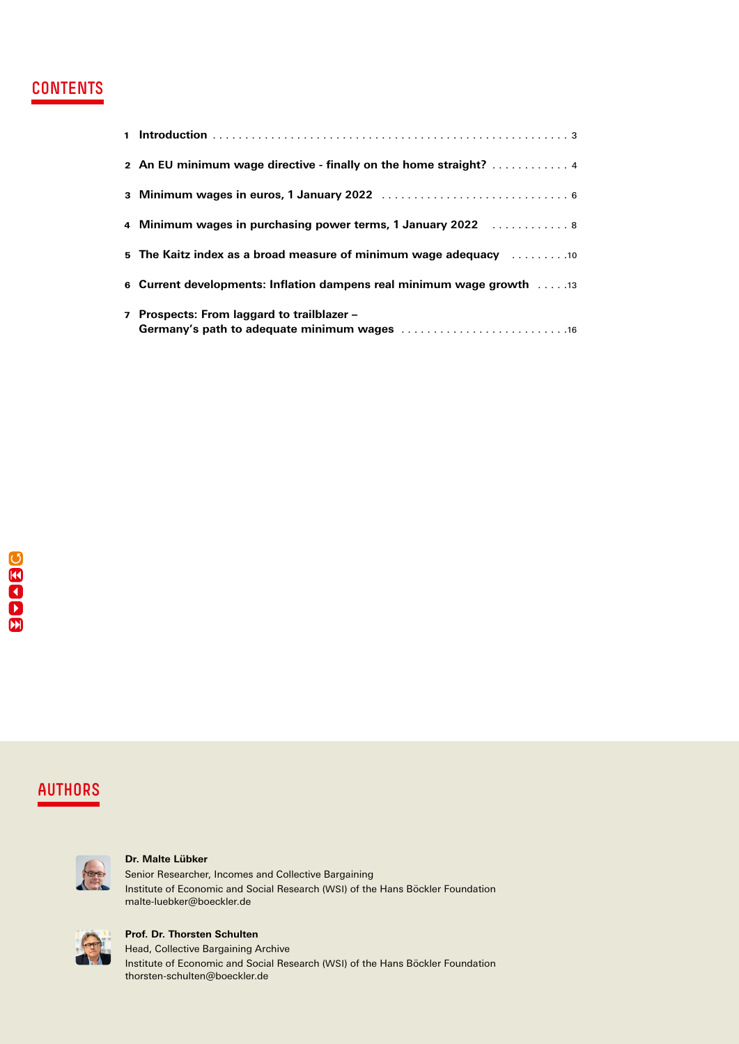## **CONTENTS**

| 2 An EU minimum wage directive - finally on the home straight? 4                                               |
|----------------------------------------------------------------------------------------------------------------|
|                                                                                                                |
| 4 Minimum wages in purchasing power terms, 1 January 2022  8                                                   |
| 5 The Kaitz index as a broad measure of minimum wage adequacy surrection on the Kaitz index as a broad measure |
| 6 Current developments: Inflation dampens real minimum wage growth 13                                          |
| 7 Prospects: From laggard to trailblazer -                                                                     |

## AUTHORS



#### **Dr. Malte Lübker**

Senior Researcher, Incomes and Collective Bargaining Institute of Economic and Social Research (WSI) of the Hans Böckler Foundation malte-luebker@boeckler.de



#### **Prof. Dr. Thorsten Schulten**

Head, Collective Bargaining Archive Institute of Economic and Social Research (WSI) of the Hans Böckler Foundation thorsten-schulten@boeckler.de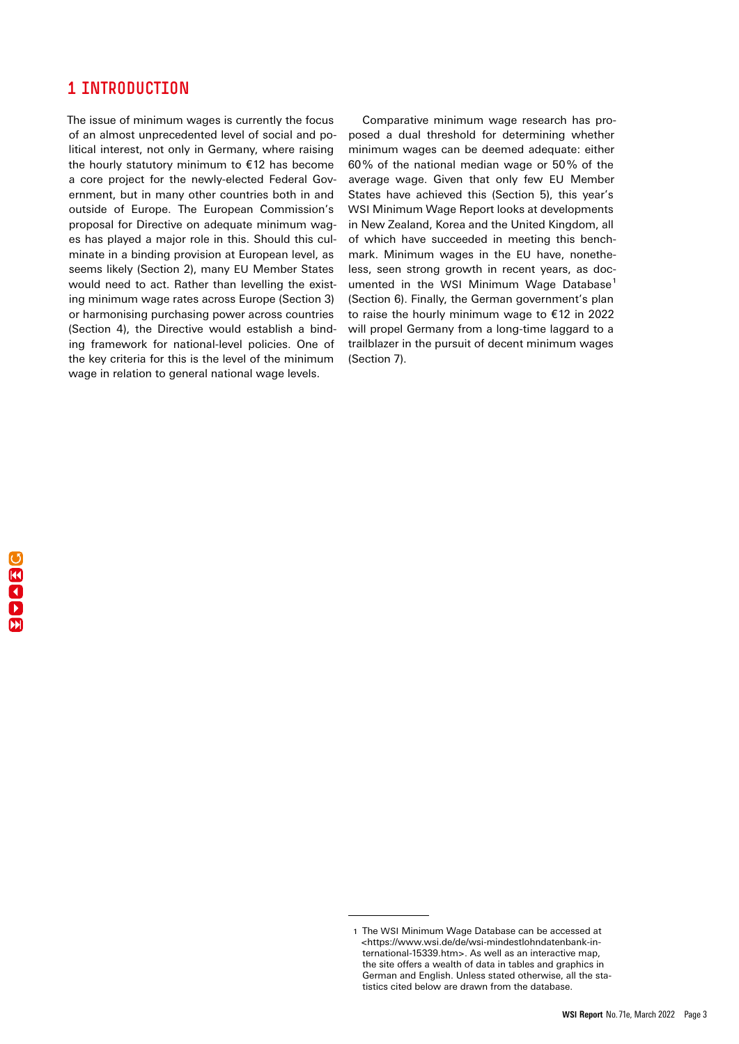## <span id="page-2-0"></span>1 INTRODUCTION

The issue of minimum wages is currently the focus of an almost unprecedented level of social and political interest, not only in Germany, where raising the hourly statutory minimum to €12 has become a core project for the newly-elected Federal Government, but in many other countries both in and outside of Europe. The European Commission's proposal for Directive on adequate minimum wages has played a major role in this. Should this culminate in a binding provision at European level, as seems likely (Section 2), many EU Member States would need to act. Rather than levelling the existing minimum wage rates across Europe (Section 3) or harmonising purchasing power across countries (Section 4), the Directive would establish a binding framework for national-level policies. One of the key criteria for this is the level of the minimum wage in relation to general national wage levels.

Comparative minimum wage research has proposed a dual threshold for determining whether minimum wages can be deemed adequate: either 60% of the national median wage or 50% of the average wage. Given that only few EU Member States have achieved this (Section 5), this year's WSI Minimum Wage Report looks at developments in New Zealand, Korea and the United Kingdom, all of which have succeeded in meeting this benchmark. Minimum wages in the EU have, nonetheless, seen strong growth in recent years, as documented in the WSI Minimum Wage Database<sup>1</sup> (Section 6). Finally, the German government's plan to raise the hourly minimum wage to €12 in 2022 will propel Germany from a long-time laggard to a trailblazer in the pursuit of decent minimum wages (Section 7).

<sup>1</sup> The WSI Minimum Wage Database can be accessed at <https://www.wsi.de/de/wsi-mindestlohndatenbank-international-15339.htm>. As well as an interactive map, the site offers a wealth of data in tables and graphics in German and English. Unless stated otherwise, all the statistics cited below are drawn from the database.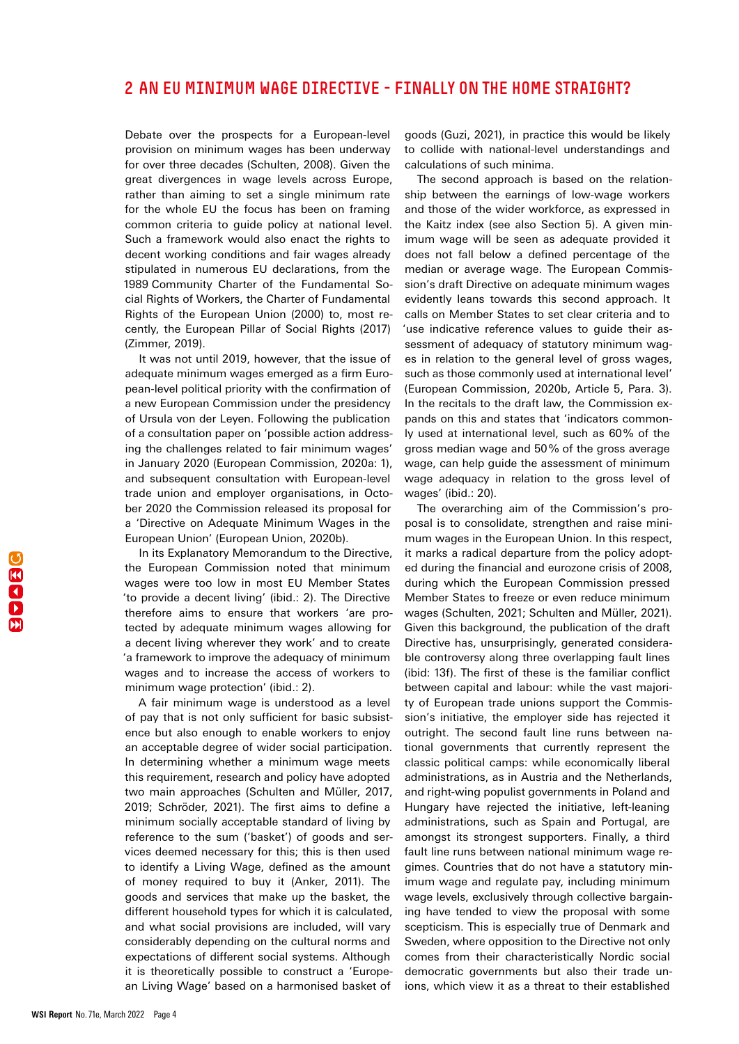## <span id="page-3-0"></span>2 AN EU MINIMUM WAGE DIRECTIVE - FINALLY ON THE HOME STRAIGHT?

Debate over the prospects for a European-level provision on minimum wages has been underway for over three decades (Schulten, 2008). Given the great divergences in wage levels across Europe, rather than aiming to set a single minimum rate for the whole EU the focus has been on framing common criteria to guide policy at national level. Such a framework would also enact the rights to decent working conditions and fair wages already stipulated in numerous EU declarations, from the 1989 Community Charter of the Fundamental Social Rights of Workers, the Charter of Fundamental Rights of the European Union (2000) to, most recently, the European Pillar of Social Rights (2017) (Zimmer, 2019).

It was not until 2019, however, that the issue of adequate minimum wages emerged as a firm European-level political priority with the confirmation of a new European Commission under the presidency of Ursula von der Leyen. Following the publication of a consultation paper on 'possible action addressing the challenges related to fair minimum wages' in January 2020 (European Commission, 2020a: 1), and subsequent consultation with European-level trade union and employer organisations, in October 2020 the Commission released its proposal for a 'Directive on Adequate Minimum Wages in the European Union' (European Union, 2020b).

In its Explanatory Memorandum to the Directive, the European Commission noted that minimum wages were too low in most EU Member States 'to provide a decent living' (ibid.: 2). The Directive therefore aims to ensure that workers 'are protected by adequate minimum wages allowing for a decent living wherever they work' and to create 'a framework to improve the adequacy of minimum wages and to increase the access of workers to minimum wage protection' (ibid.: 2).

A fair minimum wage is understood as a level of pay that is not only sufficient for basic subsistence but also enough to enable workers to enjoy an acceptable degree of wider social participation. In determining whether a minimum wage meets this requirement, research and policy have adopted two main approaches (Schulten and Müller, 2017, 2019; Schröder, 2021). The first aims to define a minimum socially acceptable standard of living by reference to the sum ('basket') of goods and services deemed necessary for this; this is then used to identify a Living Wage, defined as the amount of money required to buy it (Anker, 2011). The goods and services that make up the basket, the different household types for which it is calculated, and what social provisions are included, will vary considerably depending on the cultural norms and expectations of different social systems. Although it is theoretically possible to construct a 'European Living Wage' based on a harmonised basket of

goods (Guzi, 2021), in practice this would be likely to collide with national-level understandings and calculations of such minima.

The second approach is based on the relationship between the earnings of low-wage workers and those of the wider workforce, as expressed in the Kaitz index (see also Section 5). A given minimum wage will be seen as adequate provided it does not fall below a defined percentage of the median or average wage. The European Commission's draft Directive on adequate minimum wages evidently leans towards this second approach. It calls on Member States to set clear criteria and to 'use indicative reference values to guide their assessment of adequacy of statutory minimum wages in relation to the general level of gross wages, such as those commonly used at international level' (European Commission, 2020b, Article 5, Para. 3). In the recitals to the draft law, the Commission expands on this and states that 'indicators commonly used at international level, such as 60% of the gross median wage and 50% of the gross average wage, can help guide the assessment of minimum wage adequacy in relation to the gross level of wages' (ibid.: 20).

The overarching aim of the Commission's proposal is to consolidate, strengthen and raise minimum wages in the European Union. In this respect, it marks a radical departure from the policy adopted during the financial and eurozone crisis of 2008, during which the European Commission pressed Member States to freeze or even reduce minimum wages (Schulten, 2021; Schulten and Müller, 2021). Given this background, the publication of the draft Directive has, unsurprisingly, generated considerable controversy along three overlapping fault lines (ibid: 13f). The first of these is the familiar conflict between capital and labour: while the vast majority of European trade unions support the Commission's initiative, the employer side has rejected it outright. The second fault line runs between national governments that currently represent the classic political camps: while economically liberal administrations, as in Austria and the Netherlands, and right-wing populist governments in Poland and Hungary have rejected the initiative, left-leaning administrations, such as Spain and Portugal, are amongst its strongest supporters. Finally, a third fault line runs between national minimum wage regimes. Countries that do not have a statutory minimum wage and regulate pay, including minimum wage levels, exclusively through collective bargaining have tended to view the proposal with some scepticism. This is especially true of Denmark and Sweden, where opposition to the Directive not only comes from their characteristically Nordic social democratic governments but also their trade unions, which view it as a threat to their established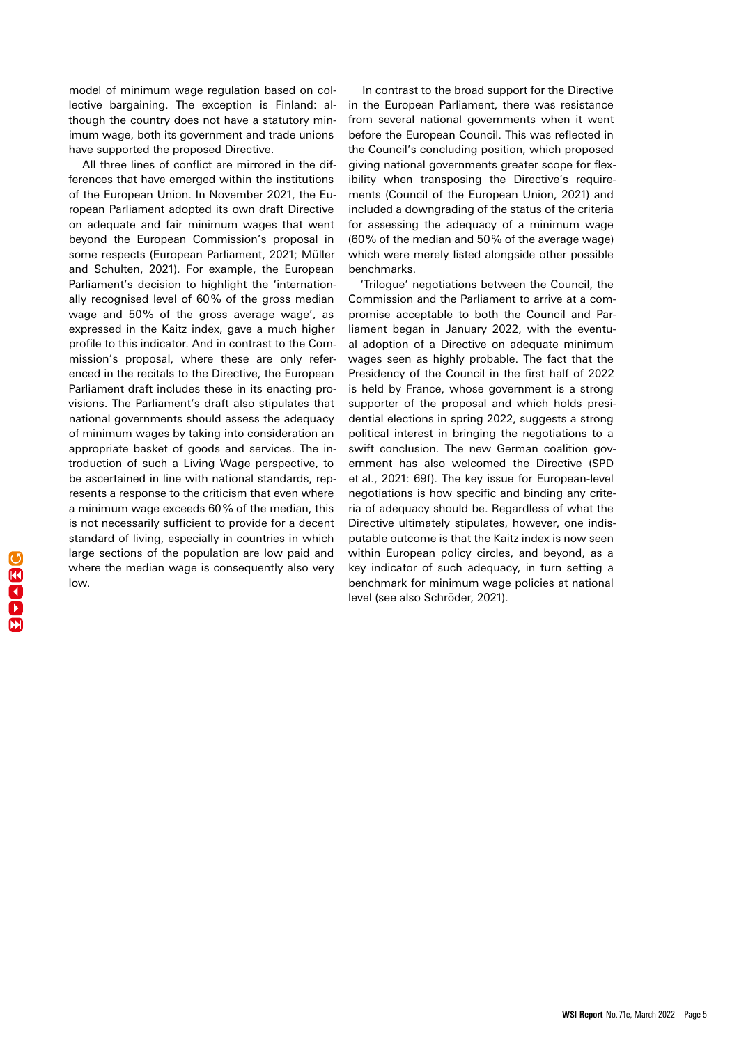model of minimum wage regulation based on collective bargaining. The exception is Finland: although the country does not have a statutory minimum wage, both its government and trade unions have supported the proposed Directive.

All three lines of conflict are mirrored in the differences that have emerged within the institutions of the European Union. In November 2021, the European Parliament adopted its own draft Directive on adequate and fair minimum wages that went beyond the European Commission's proposal in some respects (European Parliament, 2021; Müller and Schulten, 2021). For example, the European Parliament's decision to highlight the 'internationally recognised level of 60% of the gross median wage and 50% of the gross average wage', as expressed in the Kaitz index, gave a much higher profile to this indicator. And in contrast to the Commission's proposal, where these are only referenced in the recitals to the Directive, the European Parliament draft includes these in its enacting provisions. The Parliament's draft also stipulates that national governments should assess the adequacy of minimum wages by taking into consideration an appropriate basket of goods and services. The introduction of such a Living Wage perspective, to be ascertained in line with national standards, represents a response to the criticism that even where a minimum wage exceeds 60% of the median, this is not necessarily sufficient to provide for a decent standard of living, especially in countries in which large sections of the population are low paid and where the median wage is consequently also very low.

In contrast to the broad support for the Directive in the European Parliament, there was resistance from several national governments when it went before the European Council. This was reflected in the Council's concluding position, which proposed giving national governments greater scope for flexibility when transposing the Directive's requirements (Council of the European Union, 2021) and included a downgrading of the status of the criteria for assessing the adequacy of a minimum wage (60% of the median and 50% of the average wage) which were merely listed alongside other possible benchmarks.

'Trilogue' negotiations between the Council, the Commission and the Parliament to arrive at a compromise acceptable to both the Council and Parliament began in January 2022, with the eventual adoption of a Directive on adequate minimum wages seen as highly probable. The fact that the Presidency of the Council in the first half of 2022 is held by France, whose government is a strong supporter of the proposal and which holds presidential elections in spring 2022, suggests a strong political interest in bringing the negotiations to a swift conclusion. The new German coalition government has also welcomed the Directive (SPD et al., 2021: 69f). The key issue for European-level negotiations is how specific and binding any criteria of adequacy should be. Regardless of what the Directive ultimately stipulates, however, one indisputable outcome is that the Kaitz index is now seen within European policy circles, and beyond, as a key indicator of such adequacy, in turn setting a benchmark for minimum wage policies at national level (see also Schröder, 2021).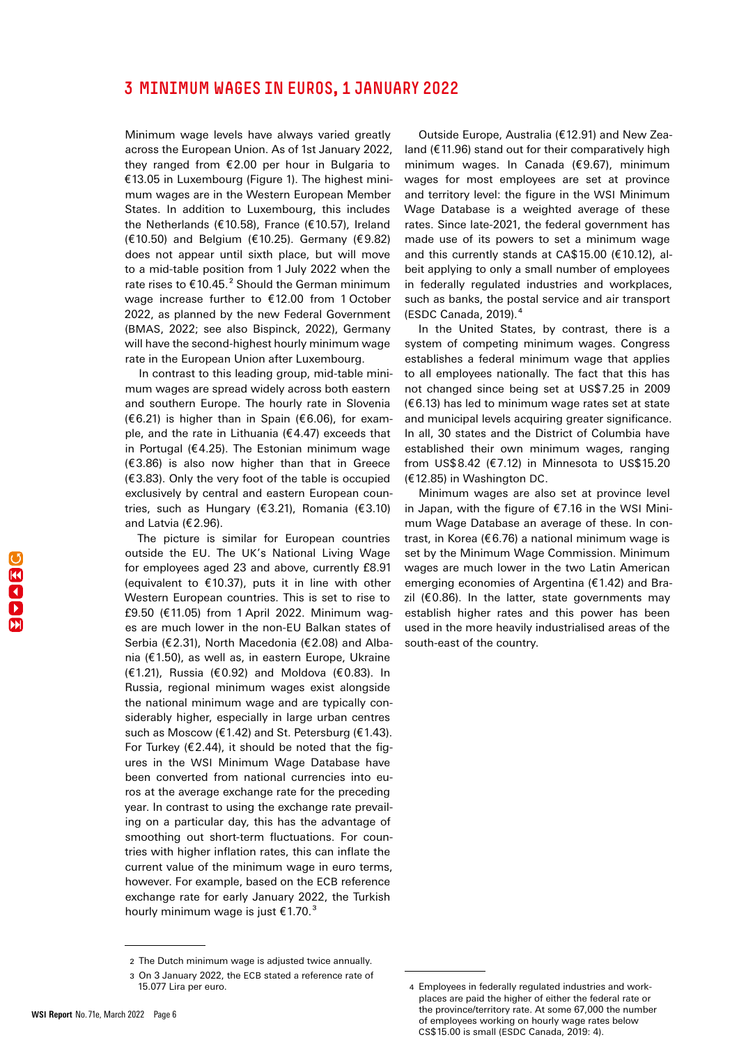## <span id="page-5-0"></span>3 MINIMUM WAGES IN EUROS, 1 JANUARY 2022

Minimum wage levels have always varied greatly across the European Union. As of 1st January 2022, they ranged from €2.00 per hour in Bulgaria to €13.05 in Luxembourg (Figure 1). The highest minimum wages are in the Western European Member States. In addition to Luxembourg, this includes the Netherlands (€10.58), France (€10.57), Ireland (€10.50) and Belgium (€10.25). Germany (€9.82) does not appear until sixth place, but will move to a mid-table position from 1 July 2022 when the rate rises to  $\text{\textsterling}10.45$ .<sup>2</sup> Should the German minimum wage increase further to €12.00 from 1 October 2022, as planned by the new Federal Government (BMAS, 2022; see also Bispinck, 2022), Germany will have the second-highest hourly minimum wage rate in the European Union after Luxembourg.

In contrast to this leading group, mid-table minimum wages are spread widely across both eastern and southern Europe. The hourly rate in Slovenia (€6.21) is higher than in Spain (€6.06), for example, and the rate in Lithuania ( $\epsilon$ 4.47) exceeds that in Portugal ( $€4.25$ ). The Estonian minimum wage (€3.86) is also now higher than that in Greece (€3.83). Only the very foot of the table is occupied exclusively by central and eastern European countries, such as Hungary (€3.21), Romania (€3.10) and Latvia (€2.96).

The picture is similar for European countries outside the EU. The UK's National Living Wage for employees aged 23 and above, currently £8.91 (equivalent to  $£10.37$ ), puts it in line with other Western European countries. This is set to rise to £9.50 (€11.05) from 1 April 2022. Minimum wages are much lower in the non-EU Balkan states of Serbia (€2.31), North Macedonia (€2.08) and Albania (€1.50), as well as, in eastern Europe, Ukraine (€1.21), Russia (€0.92) and Moldova (€0.83). In Russia, regional minimum wages exist alongside the national minimum wage and are typically considerably higher, especially in large urban centres such as Moscow (€1.42) and St. Petersburg (€1.43). For Turkey ( $E$ 2.44), it should be noted that the figures in the WSI Minimum Wage Database have been converted from national currencies into euros at the average exchange rate for the preceding year. In contrast to using the exchange rate prevailing on a particular day, this has the advantage of smoothing out short-term fluctuations. For countries with higher inflation rates, this can inflate the current value of the minimum wage in euro terms, however. For example, based on the ECB reference exchange rate for early January 2022, the Turkish hourly minimum wage is just  $\text{\textsterling}1.70$ .<sup>3</sup>

Outside Europe, Australia (€12.91) and New Zealand (€11.96) stand out for their comparatively high minimum wages. In Canada (€9.67), minimum wages for most employees are set at province and territory level: the figure in the WSI Minimum Wage Database is a weighted average of these rates. Since late-2021, the federal government has made use of its powers to set a minimum wage and this currently stands at CA\$15.00 (€10.12), albeit applying to only a small number of employees in federally regulated industries and workplaces, such as banks, the postal service and air transport (ESDC Canada, 2019). 4

In the United States, by contrast, there is a system of competing minimum wages. Congress establishes a federal minimum wage that applies to all employees nationally. The fact that this has not changed since being set at US\$7.25 in 2009 (€6.13) has led to minimum wage rates set at state and municipal levels acquiring greater significance. In all, 30 states and the District of Columbia have established their own minimum wages, ranging from US\$8.42 (€7.12) in Minnesota to US\$15.20 (€12.85) in Washington DC.

Minimum wages are also set at province level in Japan, with the figure of €7.16 in the WSI Minimum Wage Database an average of these. In contrast, in Korea (€6.76) a national minimum wage is set by the Minimum Wage Commission. Minimum wages are much lower in the two Latin American emerging economies of Argentina (€1.42) and Brazil ( $€0.86$ ). In the latter, state governments may establish higher rates and this power has been used in the more heavily industrialised areas of the south-east of the country.

<sup>2</sup> The Dutch minimum wage is adjusted twice annually.

<sup>3</sup> On 3 January 2022, the ECB stated a reference rate of 15.077 Lira per euro.

<sup>4</sup> Employees in federally regulated industries and workplaces are paid the higher of either the federal rate or the province/territory rate. At some 67,000 the number of employees working on hourly wage rates below CS\$15.00 is small (ESDC Canada, 2019: 4).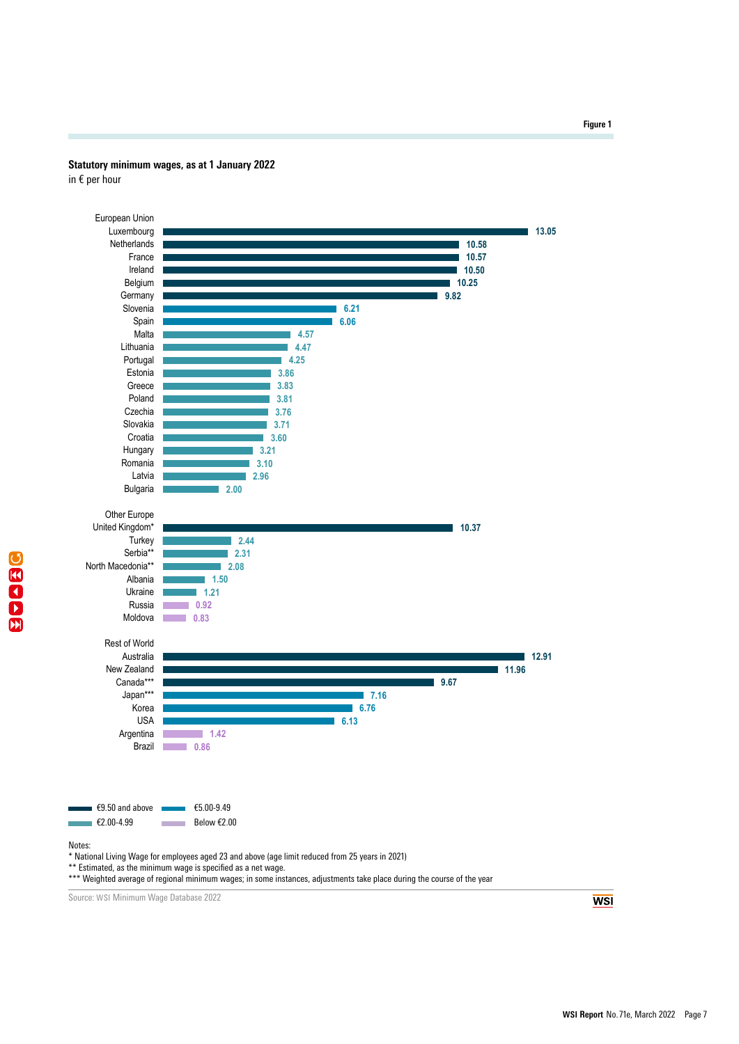#### **Statutory minimum wages, as at 1 January 2022**

in € per hour



\*\* Estimated, as the minimum wage is specified as a net wage.

\*\*\* Weighted average of regional minimum wages; in some instances, adjustments take place during the course of the year

Source: WSI Minimum Wage Database 2022

**WSI**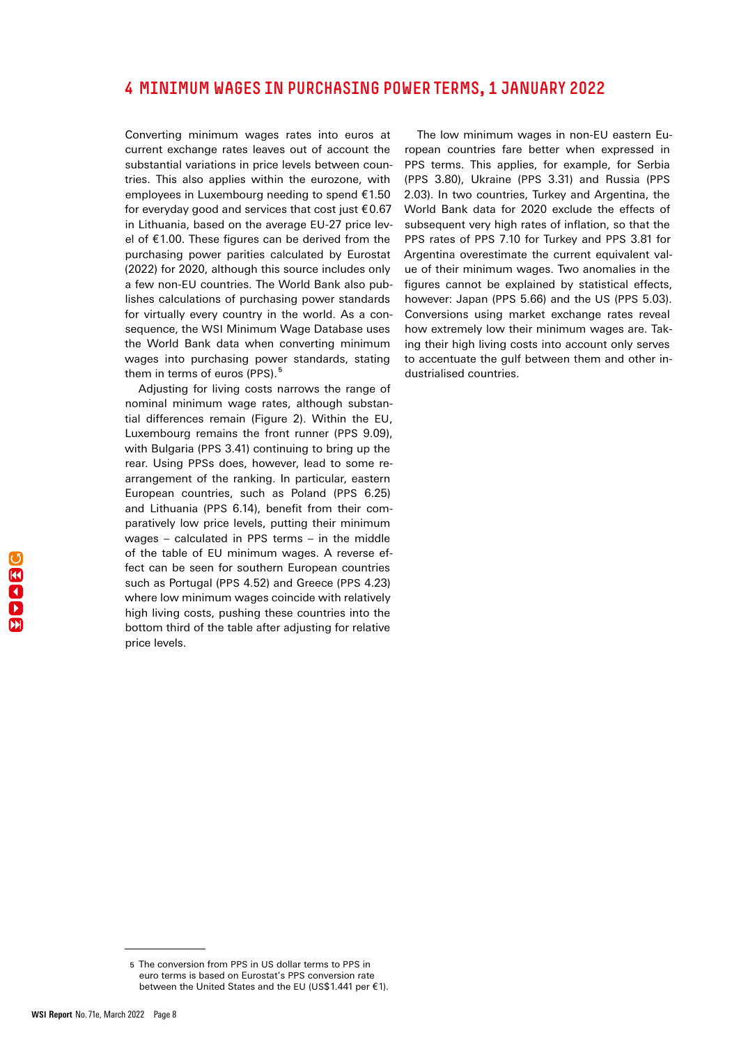## <span id="page-7-0"></span>4 MINIMUM WAGES IN PURCHASING POWER TERMS, 1 JANUARY 2022

Converting minimum wages rates into euros at current exchange rates leaves out of account the substantial variations in price levels between countries. This also applies within the eurozone, with employees in Luxembourg needing to spend €1.50 for everyday good and services that cost just €0.67 in Lithuania, based on the average EU-27 price level of €1.00. These figures can be derived from the purchasing power parities calculated by Eurostat (2022) for 2020, although this source includes only a few non-EU countries. The World Bank also publishes calculations of purchasing power standards for virtually every country in the world. As a consequence, the WSI Minimum Wage Database uses the World Bank data when converting minimum wages into purchasing power standards, stating them in terms of euros (PPS). 5

Adjusting for living costs narrows the range of nominal minimum wage rates, although substantial differences remain (Figure 2). Within the EU, Luxembourg remains the front runner (PPS 9.09), with Bulgaria (PPS 3.41) continuing to bring up the rear. Using PPSs does, however, lead to some rearrangement of the ranking. In particular, eastern European countries, such as Poland (PPS 6.25) and Lithuania (PPS 6.14), benefit from their comparatively low price levels, putting their minimum wages – calculated in PPS terms – in the middle of the table of EU minimum wages. A reverse effect can be seen for southern European countries such as Portugal (PPS 4.52) and Greece (PPS 4.23) where low minimum wages coincide with relatively high living costs, pushing these countries into the bottom third of the table after adjusting for relative price levels.

The low minimum wages in non-EU eastern European countries fare better when expressed in PPS terms. This applies, for example, for Serbia (PPS 3.80), Ukraine (PPS 3.31) and Russia (PPS 2.03). In two countries, Turkey and Argentina, the World Bank data for 2020 exclude the effects of subsequent very high rates of inflation, so that the PPS rates of PPS 7.10 for Turkey and PPS 3.81 for Argentina overestimate the current equivalent value of their minimum wages. Two anomalies in the figures cannot be explained by statistical effects, however: Japan (PPS 5.66) and the US (PPS 5.03). Conversions using market exchange rates reveal how extremely low their minimum wages are. Taking their high living costs into account only serves to accentuate the gulf between them and other industrialised countries.

<sup>5</sup> The conversion from PPS in US dollar terms to PPS in euro terms is based on Eurostat's PPS conversion rate between the United States and the EU (US\$1.441 per €1).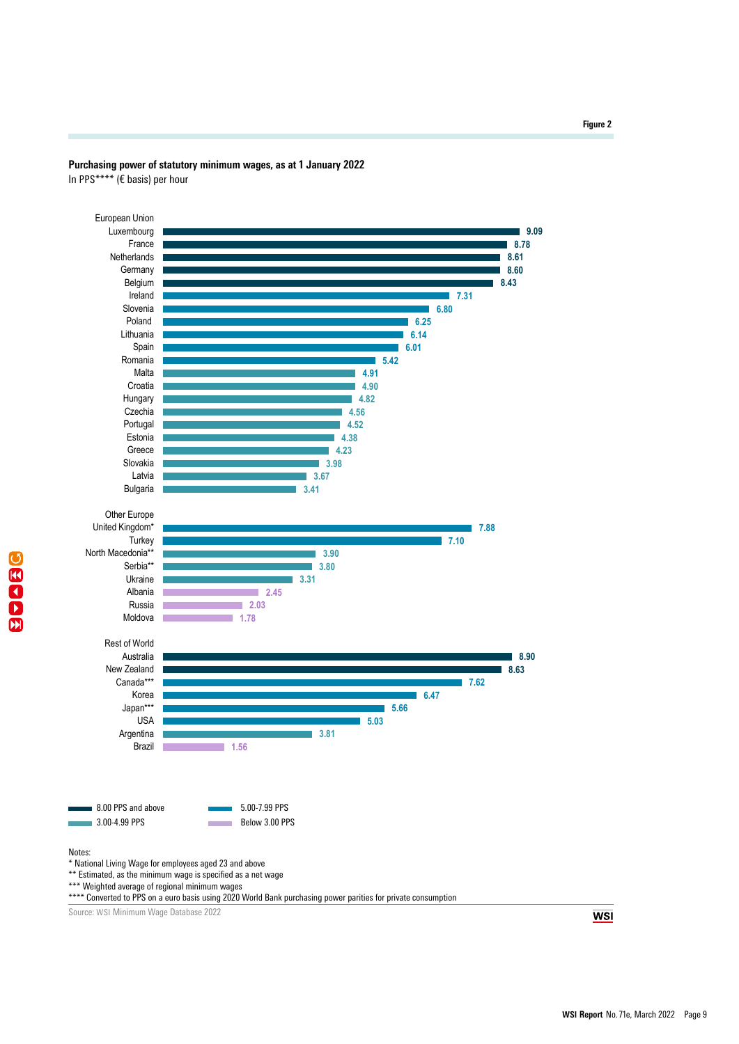

## **Purchasing power of statutory minimum wages, as at 1 January 2022**

In PPS\*\*\*\* (€ basis) per hour

Source: WSI Minimum Wage Database 2022

**WSI**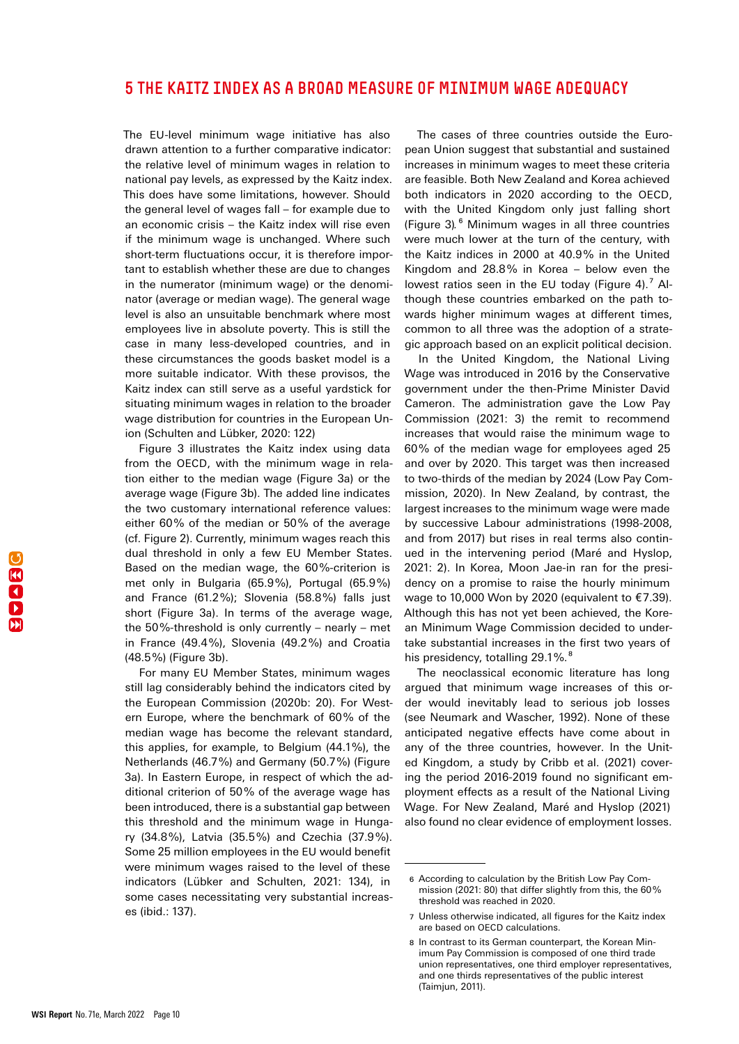## <span id="page-9-0"></span>5 THE KAITZ INDEX AS A BROAD MEASURE OF MINIMUM WAGE ADEQUACY

The EU-level minimum wage initiative has also drawn attention to a further comparative indicator: the relative level of minimum wages in relation to national pay levels, as expressed by the Kaitz index. This does have some limitations, however. Should the general level of wages fall – for example due to an economic crisis – the Kaitz index will rise even if the minimum wage is unchanged. Where such short-term fluctuations occur, it is therefore important to establish whether these are due to changes in the numerator (minimum wage) or the denominator (average or median wage). The general wage level is also an unsuitable benchmark where most employees live in absolute poverty. This is still the case in many less-developed countries, and in these circumstances the goods basket model is a more suitable indicator. With these provisos, the Kaitz index can still serve as a useful yardstick for situating minimum wages in relation to the broader wage distribution for countries in the European Union (Schulten and Lübker, 2020: 122)

Figure 3 illustrates the Kaitz index using data from the OECD, with the minimum wage in relation either to the median wage (Figure 3a) or the average wage (Figure 3b). The added line indicates the two customary international reference values: either 60% of the median or 50% of the average (cf. Figure 2). Currently, minimum wages reach this dual threshold in only a few EU Member States. Based on the median wage, the 60%-criterion is met only in Bulgaria (65.9%), Portugal (65.9%) and France (61.2%); Slovenia (58.8%) falls just short (Figure 3a). In terms of the average wage, the 50%-threshold is only currently – nearly – met in France (49.4%), Slovenia (49.2%) and Croatia (48.5%) (Figure 3b).

For many EU Member States, minimum wages still lag considerably behind the indicators cited by the European Commission (2020b: 20). For Western Europe, where the benchmark of 60% of the median wage has become the relevant standard, this applies, for example, to Belgium (44.1%), the Netherlands (46.7%) and Germany (50.7%) (Figure 3a). In Eastern Europe, in respect of which the additional criterion of 50% of the average wage has been introduced, there is a substantial gap between this threshold and the minimum wage in Hungary (34.8%), Latvia (35.5%) and Czechia (37.9%). Some 25 million employees in the EU would benefit were minimum wages raised to the level of these indicators (Lübker and Schulten, 2021: 134), in some cases necessitating very substantial increases (ibid.: 137).

The cases of three countries outside the European Union suggest that substantial and sustained increases in minimum wages to meet these criteria are feasible. Both New Zealand and Korea achieved both indicators in 2020 according to the OECD, with the United Kingdom only just falling short (Figure 3)*.* 6 Minimum wages in all three countries were much lower at the turn of the century, with the Kaitz indices in 2000 at 40.9% in the United Kingdom and 28.8% in Korea – below even the lowest ratios seen in the EU today (Figure 4).<sup>7</sup> Although these countries embarked on the path towards higher minimum wages at different times, common to all three was the adoption of a strategic approach based on an explicit political decision.

In the United Kingdom, the National Living Wage was introduced in 2016 by the Conservative government under the then-Prime Minister David Cameron. The administration gave the Low Pay Commission (2021: 3) the remit to recommend increases that would raise the minimum wage to 60% of the median wage for employees aged 25 and over by 2020. This target was then increased to two-thirds of the median by 2024 (Low Pay Commission, 2020). In New Zealand, by contrast, the largest increases to the minimum wage were made by successive Labour administrations (1998-2008, and from 2017) but rises in real terms also continued in the intervening period (Maré and Hyslop, 2021: 2). In Korea, Moon Jae-in ran for the presidency on a promise to raise the hourly minimum wage to 10,000 Won by 2020 (equivalent to €7.39). Although this has not yet been achieved, the Korean Minimum Wage Commission decided to undertake substantial increases in the first two years of his presidency, totalling 29.1%.<sup>8</sup>

The neoclassical economic literature has long argued that minimum wage increases of this order would inevitably lead to serious job losses (see Neumark and Wascher, 1992). None of these anticipated negative effects have come about in any of the three countries, however. In the United Kingdom, a study by Cribb et al. (2021) covering the period 2016-2019 found no significant employment effects as a result of the National Living Wage. For New Zealand, Maré and Hyslop (2021) also found no clear evidence of employment losses.

<sup>6</sup> According to calculation by the British Low Pay Commission (2021: 80) that differ slightly from this, the 60% threshold was reached in 2020.

<sup>7</sup> Unless otherwise indicated, all figures for the Kaitz index are based on OECD calculations.

<sup>8</sup> In contrast to its German counterpart, the Korean Minimum Pay Commission is composed of one third trade union representatives, one third employer representatives, and one thirds representatives of the public interest (Taimjun, 2011).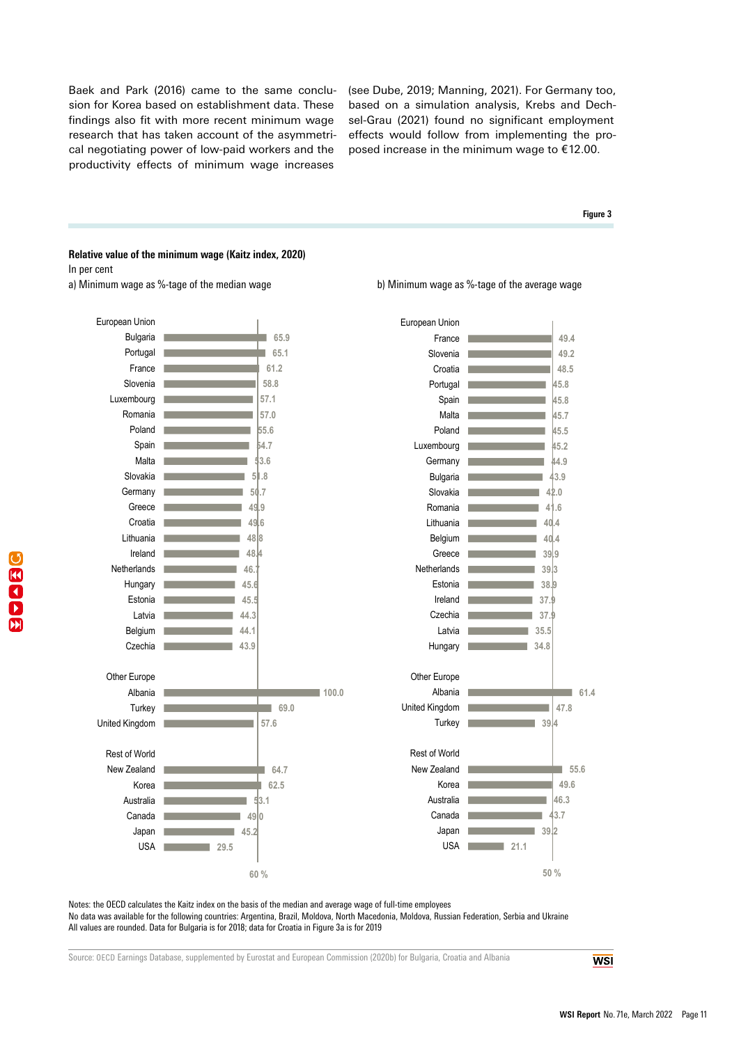Baek and Park (2016) came to the same conclusion for Korea based on establishment data. These findings also fit with more recent minimum wage research that has taken account of the asymmetrical negotiating power of low-paid workers and the productivity effects of minimum wage increases

(see Dube, 2019; Manning, 2021). For Germany too, based on a simulation analysis, Krebs and Dechsel-Grau (2021) found no significant employment effects would follow from implementing the proposed increase in the minimum wage to €12.00.

#### **Figure 3**

#### **Relative value of the minimum wage (Kaitz index, 2020)** In per cent





a) Minimum wage as %-tage of the median wage b b) Minimum wage as %-tage of the average wage

Notes: the OECD calculates the Kaitz index on the basis of the median and average wage of full-time employees No data was available for the following countries: Argentina, Brazil, Moldova, North Macedonia, Moldova, Russian Federation, Serbia and Ukraine All values are rounded. Data for Bulgaria is for 2018; data for Croatia in Figure 3a is for 2019

Source: OECD Earnings Database, supplemented by Eurostat and European Commission (2020b) for Bulgaria, Croatia and Albania

**WSI**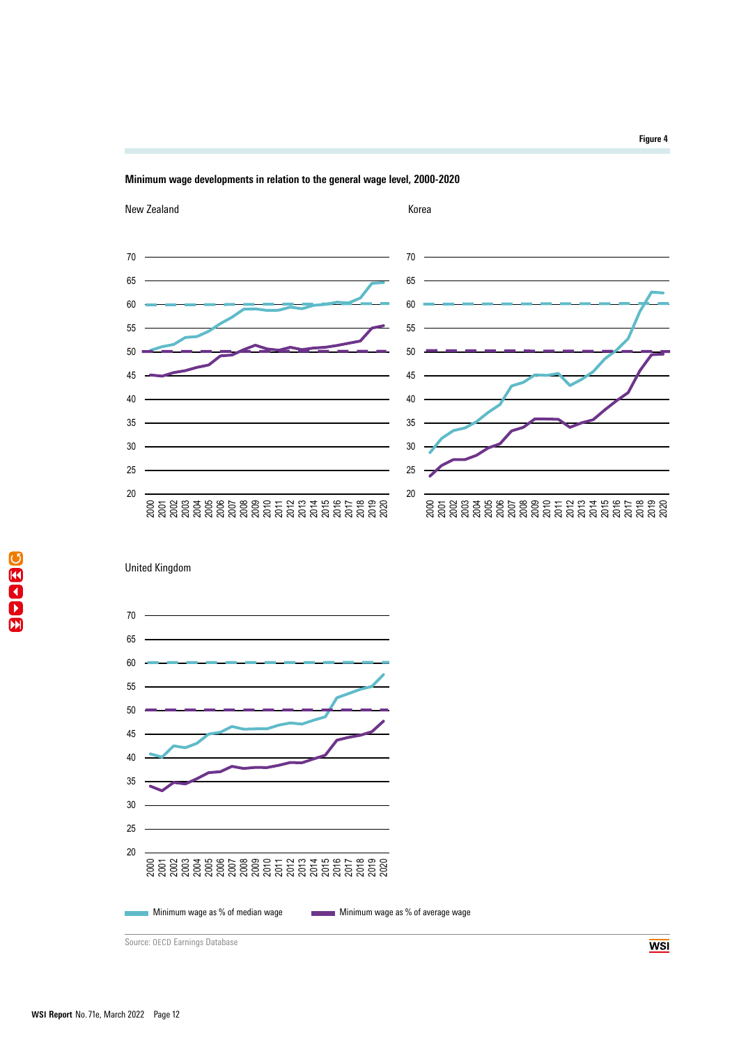







Source: OECD Earnings Database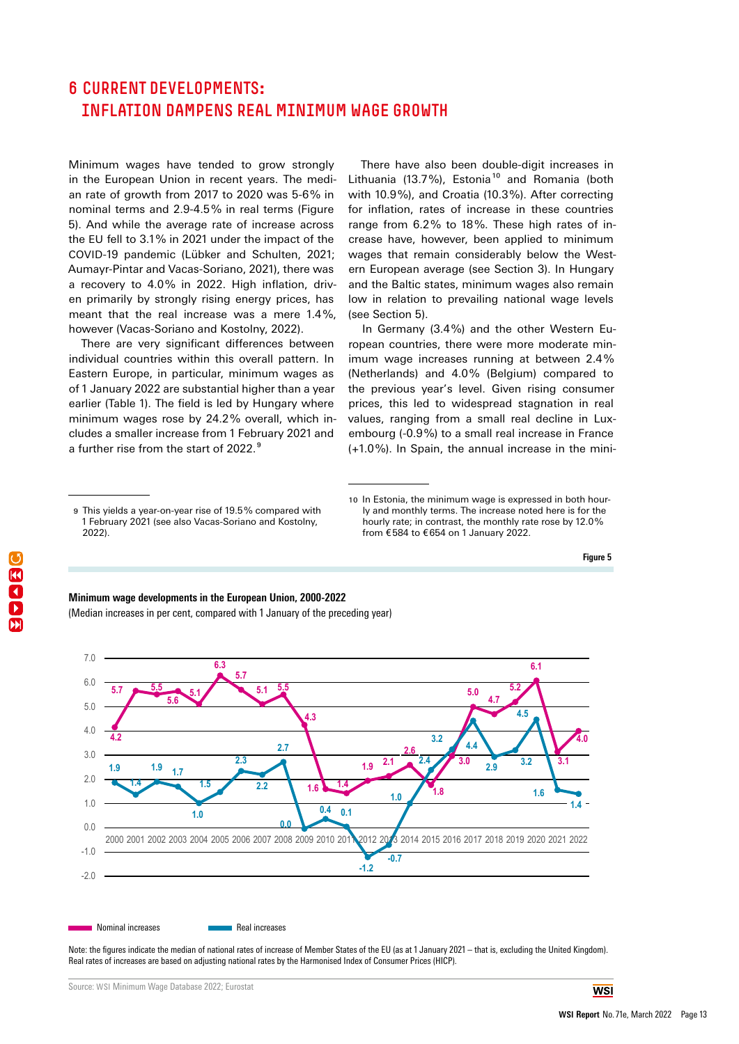## <span id="page-12-0"></span>6 CURRENT DEVELOPMENTS: INFLATION DAMPENS REAL MINIMUM WAGE GROWTH

Minimum wages have tended to grow strongly in the European Union in recent years. The median rate of growth from 2017 to 2020 was 5-6% in nominal terms and 2.9-4.5% in real terms (Figure 5). And while the average rate of increase across the EU fell to 3.1% in 2021 under the impact of the COVID-19 pandemic (Lübker and Schulten, 2021; Aumayr-Pintar and Vacas-Soriano, 2021), there was a recovery to 4.0% in 2022. High inflation, driven primarily by strongly rising energy prices, has meant that the real increase was a mere 1.4%, however (Vacas-Soriano and Kostolny, 2022).

There are very significant differences between individual countries within this overall pattern. In Eastern Europe, in particular, minimum wages as of 1 January 2022 are substantial higher than a year earlier (Table 1). The field is led by Hungary where minimum wages rose by 24.2% overall, which includes a smaller increase from 1 February 2021 and a further rise from the start of 2022. 9

In Germany (3.4%) and the other Western European countries, there were more moderate minimum wage increases running at between 2.4% (Netherlands) and 4.0% (Belgium) compared to the previous year's level. Given rising consumer prices, this led to widespread stagnation in real values, ranging from a small real decline in Luxembourg (-0.9%) to a small real increase in France (+1.0%). In Spain, the annual increase in the mini-

**Figure 5**









There have also been double-digit increases in Lithuania (13.7%), Estonia<sup>10</sup> and Romania (both with 10.9%), and Croatia (10.3%). After correcting for inflation, rates of increase in these countries range from 6.2% to 18%. These high rates of increase have, however, been applied to minimum wages that remain considerably below the Western European average (see Section 3). In Hungary and the Baltic states, minimum wages also remain low in relation to prevailing national wage levels (see Section 5).

<sup>9</sup> This yields a year-on-year rise of 19.5% compared with 1 February 2021 (see also Vacas-Soriano and Kostolny, 2022).

<sup>10</sup> In Estonia, the minimum wage is expressed in both hourly and monthly terms. The increase noted here is for the hourly rate; in contrast, the monthly rate rose by 12.0% from €584 to €654 on 1 January 2022.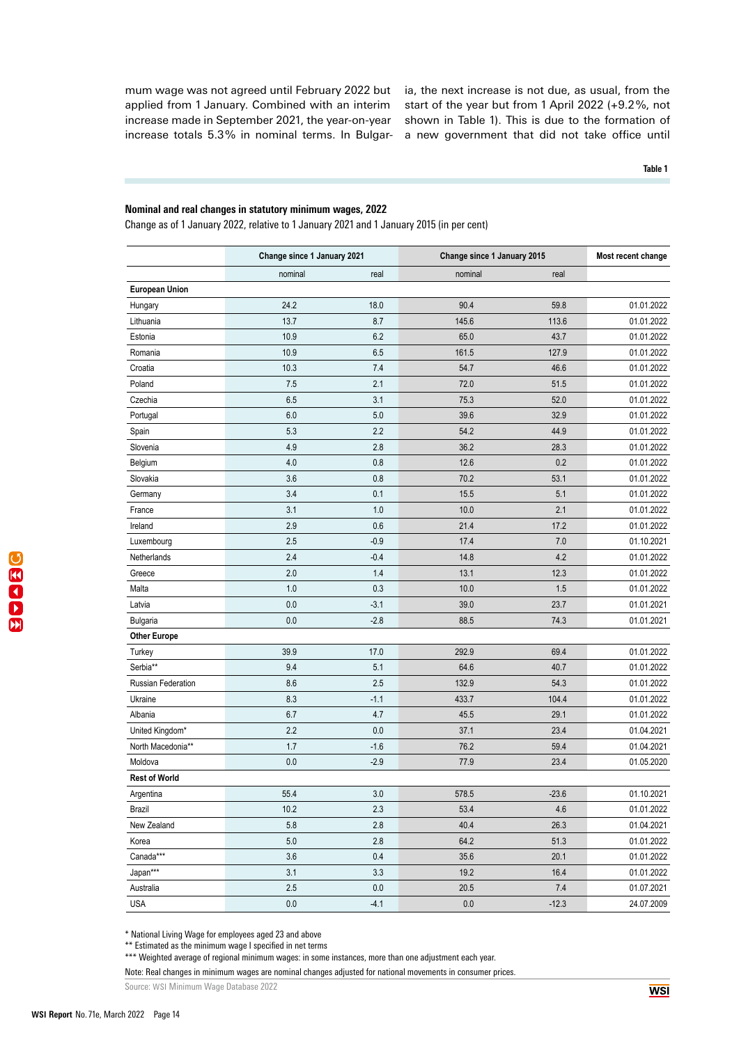mum wage was not agreed until February 2022 but applied from 1 January. Combined with an interim increase made in September 2021, the year-on-year increase totals 5.3% in nominal terms. In Bulgaria, the next increase is not due, as usual, from the start of the year but from 1 April 2022 (+9.2%, not shown in Table 1). This is due to the formation of a new government that did not take office until

**Table 1**

#### **Nominal and real changes in statutory minimum wages, 2022 Nominal and real changes in statutory minimum wages, 2022**

Change as of 1 January 2022, relative to 1 January 2021 and 1 January 2015 (in per cent) Change as of 1 January 2022, relative to 1 January 2021 and 1 January 2015 (in per cent)

|                       | Change since 1 January 2021 |        | Change since 1 January 2015 |         | Most recent change |
|-----------------------|-----------------------------|--------|-----------------------------|---------|--------------------|
|                       | nominal                     | real   | nominal                     | real    |                    |
| <b>European Union</b> |                             |        |                             |         |                    |
| Hungary               | 24.2                        | 18.0   | 90.4                        | 59.8    | 01.01.2022         |
| Lithuania             | 13.7                        | 8.7    | 145.6                       | 113.6   | 01.01.2022         |
| Estonia               | 10.9                        | 6.2    | 65.0                        | 43.7    | 01.01.2022         |
| Romania               | 10.9                        | 6.5    | 161.5                       | 127.9   | 01.01.2022         |
| Croatia               | 10.3                        | 7.4    | 54.7                        | 46.6    | 01.01.2022         |
| Poland                | 7.5                         | 2.1    | 72.0                        | 51.5    | 01.01.2022         |
| Czechia               | 6.5                         | 3.1    | 75.3                        | 52.0    | 01.01.2022         |
| Portugal              | $6.0\,$                     | 5.0    | 39.6                        | 32.9    | 01.01.2022         |
| Spain                 | 5.3                         | 2.2    | 54.2                        | 44.9    | 01.01.2022         |
| Slovenia              | 4.9                         | 2.8    | 36.2                        | 28.3    | 01.01.2022         |
| Belgium               | 4.0                         | 0.8    | 12.6                        | 0.2     | 01.01.2022         |
| Slovakia              | 3.6                         | 0.8    | 70.2                        | 53.1    | 01.01.2022         |
| Germany               | 3.4                         | 0.1    | 15.5                        | 5.1     | 01.01.2022         |
| France                | 3.1                         | 1.0    | 10.0                        | 2.1     | 01.01.2022         |
| Ireland               | 2.9                         | 0.6    | 21.4                        | 17.2    | 01.01.2022         |
| Luxembourg            | 2.5                         | $-0.9$ | 17.4                        | 7.0     | 01.10.2021         |
| Netherlands           | 2.4                         | $-0.4$ | 14.8                        | 4.2     | 01.01.2022         |
| Greece                | 2.0                         | 1.4    | 13.1                        | 12.3    | 01.01.2022         |
| Malta                 | 1.0                         | 0.3    | 10.0                        | 1.5     | 01.01.2022         |
| Latvia                | 0.0                         | $-3.1$ | 39.0                        | 23.7    | 01.01.2021         |
| Bulgaria              | 0.0                         | $-2.8$ | 88.5                        | 74.3    | 01.01.2021         |
| <b>Other Europe</b>   |                             |        |                             |         |                    |
| Turkey                | 39.9                        | 17.0   | 292.9                       | 69.4    | 01.01.2022         |
| Serbia**              | 9.4                         | 5.1    | 64.6                        | 40.7    | 01.01.2022         |
| Russian Federation    | 8.6                         | 2.5    | 132.9                       | 54.3    | 01.01.2022         |
| Ukraine               | 8.3                         | $-1.1$ | 433.7                       | 104.4   | 01.01.2022         |
| Albania               | 6.7                         | 4.7    | 45.5                        | 29.1    | 01.01.2022         |
| United Kingdom*       | 2.2                         | 0.0    | 37.1                        | 23.4    | 01.04.2021         |
| North Macedonia**     | 1.7                         | $-1.6$ | 76.2                        | 59.4    | 01.04.2021         |
| Moldova               | 0.0                         | $-2.9$ | 77.9                        | 23.4    | 01.05.2020         |
| <b>Rest of World</b>  |                             |        |                             |         |                    |
| Argentina             | 55.4                        | 3.0    | 578.5                       | $-23.6$ | 01.10.2021         |
| Brazil                | 10.2                        | 2.3    | 53.4                        | 4.6     | 01.01.2022         |
| New Zealand           | 5.8                         | 2.8    | 40.4                        | 26.3    | 01.04.2021         |
| Korea                 | $5.0$                       | 2.8    | 64.2                        | 51.3    | 01.01.2022         |
| Canada***             | 3.6                         | 0.4    | 35.6                        | 20.1    | 01.01.2022         |
| Japan***              | 3.1                         | 3.3    | 19.2                        | 16.4    | 01.01.2022         |
| Australia             | 2.5                         | 0.0    | 20.5                        | 7.4     | 01.07.2021         |
| <b>USA</b>            | $0.0\,$                     | $-4.1$ | 0.0                         | $-12.3$ | 24.07.2009         |

\* National Living Wage for employees aged 23 and above

\*\* Estimated as the minimum wage I specified in net terms

\*\*\* Weighted average of regional minimum wages: in some instances, more than one adjustment each year.<br>.

Note: Real changes in minimum wages are nominal changes adjusted for national movements in consumer prices.

Source: WSI Minimum Wage Database 2022 Source: WSI Minimum Wage Database 2022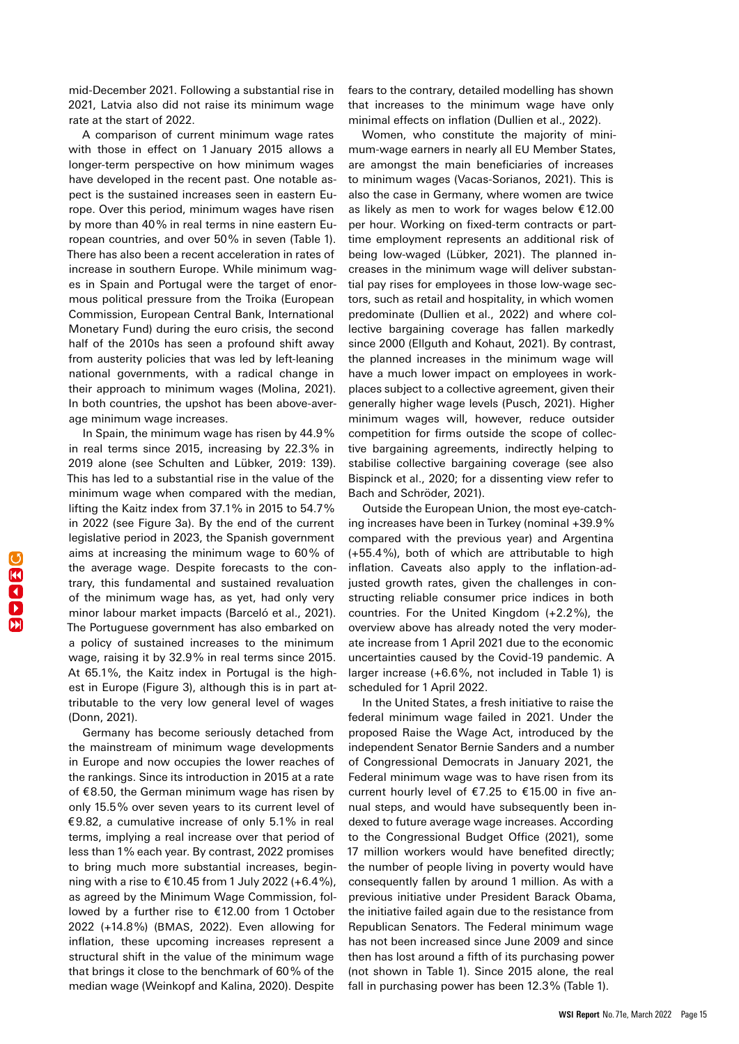mid-December 2021. Following a substantial rise in 2021, Latvia also did not raise its minimum wage rate at the start of 2022.

A comparison of current minimum wage rates with those in effect on 1 January 2015 allows a longer-term perspective on how minimum wages have developed in the recent past. One notable aspect is the sustained increases seen in eastern Europe. Over this period, minimum wages have risen by more than 40% in real terms in nine eastern European countries, and over 50% in seven (Table 1). There has also been a recent acceleration in rates of increase in southern Europe. While minimum wages in Spain and Portugal were the target of enormous political pressure from the Troika (European Commission, European Central Bank, International Monetary Fund) during the euro crisis, the second half of the 2010s has seen a profound shift away from austerity policies that was led by left-leaning national governments, with a radical change in their approach to minimum wages (Molina, 2021). In both countries, the upshot has been above-average minimum wage increases.

In Spain, the minimum wage has risen by 44.9% in real terms since 2015, increasing by 22.3% in 2019 alone (see Schulten and Lübker, 2019: 139). This has led to a substantial rise in the value of the minimum wage when compared with the median, lifting the Kaitz index from 37.1% in 2015 to 54.7% in 2022 (see Figure 3a). By the end of the current legislative period in 2023, the Spanish government aims at increasing the minimum wage to 60% of the average wage. Despite forecasts to the contrary, this fundamental and sustained revaluation of the minimum wage has, as yet, had only very minor labour market impacts (Barceló et al., 2021). The Portuguese government has also embarked on a policy of sustained increases to the minimum wage, raising it by 32.9% in real terms since 2015. At 65.1%, the Kaitz index in Portugal is the highest in Europe (Figure 3), although this is in part attributable to the very low general level of wages (Donn, 2021).

Germany has become seriously detached from the mainstream of minimum wage developments in Europe and now occupies the lower reaches of the rankings. Since its introduction in 2015 at a rate of €8.50, the German minimum wage has risen by only 15.5% over seven years to its current level of €9.82, a cumulative increase of only 5.1% in real terms, implying a real increase over that period of less than 1% each year. By contrast, 2022 promises to bring much more substantial increases, beginning with a rise to €10.45 from 1 July 2022 (+6.4%), as agreed by the Minimum Wage Commission, followed by a further rise to €12.00 from 1 October 2022 (+14.8%) (BMAS, 2022). Even allowing for inflation, these upcoming increases represent a structural shift in the value of the minimum wage that brings it close to the benchmark of 60% of the median wage (Weinkopf and Kalina, 2020). Despite

fears to the contrary, detailed modelling has shown that increases to the minimum wage have only minimal effects on inflation (Dullien et al., 2022).

Women, who constitute the majority of minimum-wage earners in nearly all EU Member States, are amongst the main beneficiaries of increases to minimum wages (Vacas-Sorianos, 2021). This is also the case in Germany, where women are twice as likely as men to work for wages below €12.00 per hour. Working on fixed-term contracts or parttime employment represents an additional risk of being low-waged (Lübker, 2021). The planned increases in the minimum wage will deliver substantial pay rises for employees in those low-wage sectors, such as retail and hospitality, in which women predominate (Dullien et al., 2022) and where collective bargaining coverage has fallen markedly since 2000 (Ellguth and Kohaut, 2021). By contrast, the planned increases in the minimum wage will have a much lower impact on employees in workplaces subject to a collective agreement, given their generally higher wage levels (Pusch, 2021). Higher minimum wages will, however, reduce outsider competition for firms outside the scope of collective bargaining agreements, indirectly helping to stabilise collective bargaining coverage (see also Bispinck et al., 2020; for a dissenting view refer to Bach and Schröder, 2021).

Outside the European Union, the most eye-catching increases have been in Turkey (nominal +39.9% compared with the previous year) and Argentina  $(+55.4%)$ , both of which are attributable to high inflation. Caveats also apply to the inflation-adjusted growth rates, given the challenges in constructing reliable consumer price indices in both countries. For the United Kingdom (+2.2%), the overview above has already noted the very moderate increase from 1 April 2021 due to the economic uncertainties caused by the Covid-19 pandemic. A larger increase (+6.6%, not included in Table 1) is scheduled for 1 April 2022.

In the United States, a fresh initiative to raise the federal minimum wage failed in 2021. Under the proposed Raise the Wage Act, introduced by the independent Senator Bernie Sanders and a number of Congressional Democrats in January 2021, the Federal minimum wage was to have risen from its current hourly level of €7.25 to €15.00 in five annual steps, and would have subsequently been indexed to future average wage increases. According to the Congressional Budget Office (2021), some 17 million workers would have benefited directly; the number of people living in poverty would have consequently fallen by around 1 million. As with a previous initiative under President Barack Obama, the initiative failed again due to the resistance from Republican Senators. The Federal minimum wage has not been increased since June 2009 and since then has lost around a fifth of its purchasing power (not shown in Table 1). Since 2015 alone, the real fall in purchasing power has been 12.3% (Table 1).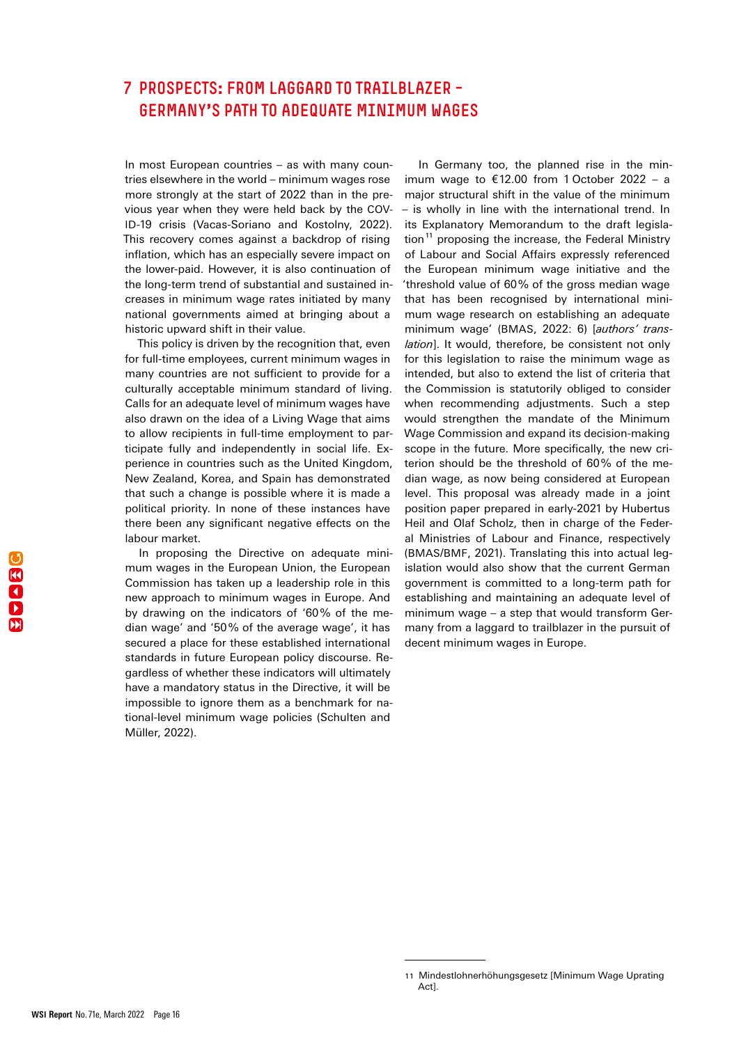## <span id="page-15-0"></span>7 PROSPECTS: FROM LAGGARD TO TRAILBLAZER – GERMANY'S PATH TO ADEQUATE MINIMUM WAGES

In most European countries – as with many countries elsewhere in the world – minimum wages rose more strongly at the start of 2022 than in the previous year when they were held back by the COV-ID-19 crisis (Vacas-Soriano and Kostolny, 2022). This recovery comes against a backdrop of rising inflation, which has an especially severe impact on the lower-paid. However, it is also continuation of the long-term trend of substantial and sustained increases in minimum wage rates initiated by many national governments aimed at bringing about a historic upward shift in their value.

This policy is driven by the recognition that, even for full-time employees, current minimum wages in many countries are not sufficient to provide for a culturally acceptable minimum standard of living. Calls for an adequate level of minimum wages have also drawn on the idea of a Living Wage that aims to allow recipients in full-time employment to participate fully and independently in social life. Experience in countries such as the United Kingdom, New Zealand, Korea, and Spain has demonstrated that such a change is possible where it is made a political priority. In none of these instances have there been any significant negative effects on the labour market.

In proposing the Directive on adequate minimum wages in the European Union, the European Commission has taken up a leadership role in this new approach to minimum wages in Europe. And by drawing on the indicators of '60% of the median wage' and '50% of the average wage', it has secured a place for these established international standards in future European policy discourse. Regardless of whether these indicators will ultimately have a mandatory status in the Directive, it will be impossible to ignore them as a benchmark for national-level minimum wage policies (Schulten and Müller, 2022).

In Germany too, the planned rise in the minimum wage to €12.00 from 1 October 2022 – a major structural shift in the value of the minimum – is wholly in line with the international trend. In its Explanatory Memorandum to the draft legislation<sup>11</sup> proposing the increase, the Federal Ministry of Labour and Social Affairs expressly referenced the European minimum wage initiative and the 'threshold value of 60% of the gross median wage that has been recognised by international minimum wage research on establishing an adequate minimum wage' (BMAS, 2022: 6) [*authors' translation*]. It would, therefore, be consistent not only for this legislation to raise the minimum wage as intended, but also to extend the list of criteria that the Commission is statutorily obliged to consider when recommending adjustments. Such a step would strengthen the mandate of the Minimum Wage Commission and expand its decision-making scope in the future. More specifically, the new criterion should be the threshold of 60% of the median wage, as now being considered at European level. This proposal was already made in a joint position paper prepared in early-2021 by Hubertus Heil and Olaf Scholz, then in charge of the Federal Ministries of Labour and Finance, respectively (BMAS/BMF, 2021). Translating this into actual legislation would also show that the current German government is committed to a long-term path for establishing and maintaining an adequate level of minimum wage – a step that would transform Germany from a laggard to trailblazer in the pursuit of decent minimum wages in Europe.

<sup>11</sup> Mindestlohnerhöhungsgesetz [Minimum Wage Uprating Act].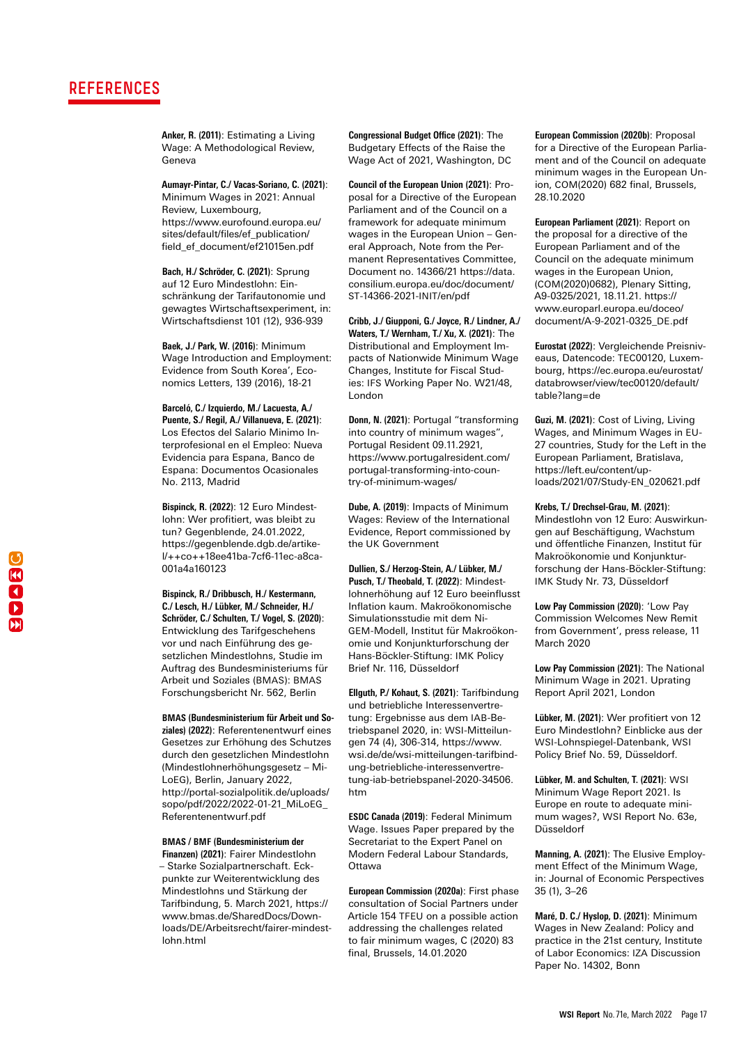## REFERENCES

**Anker, R. (2011)**: Estimating a Living Wage: A Methodological Review, Geneva

**Aumayr-Pintar, C./ Vacas-Soriano, C. (2021)**: Minimum Wages in 2021: Annual Review, Luxembourg, https://www.eurofound.europa.eu/ sites/default/files/ef\_publication/ field\_ef\_document/ef21015en.pdf

**Bach, H./ Schröder, C. (2021)**: Sprung auf 12 Euro Mindestlohn: Einschränkung der Tarifautonomie und gewagtes Wirtschaftsexperiment, in: Wirtschaftsdienst 101 (12), 936-939

**Baek, J./ Park, W. (2016)**: Minimum Wage Introduction and Employment: Evidence from South Korea', Economics Letters, 139 (2016), 18-21

**Barceló, C./ Izquierdo, M./ Lacuesta, A./ Puente, S./ Regil, A./ Villanueva, E. (2021)**: Los Efectos del Salario Minimo Interprofesional en el Empleo: Nueva Evidencia para Espana, Banco de Espana: Documentos Ocasionales No. 2113, Madrid

**Bispinck, R. (2022)**: 12 Euro Mindestlohn: Wer profitiert, was bleibt zu tun? Gegenblende, 24.01.2022, https://gegenblende.dgb.de/artikel/++co++18ee41ba-7cf6-11ec-a8ca-001a4a160123

**Bispinck, R./ Dribbusch, H./ Kestermann, C./ Lesch, H./ Lübker, M./ Schneider, H./ Schröder, C./ Schulten, T./ Vogel, S. (2020)**: Entwicklung des Tarifgeschehens vor und nach Einführung des gesetzlichen Mindestlohns, Studie im Auftrag des Bundesministeriums für Arbeit und Soziales (BMAS): BMAS Forschungsbericht Nr. 562, Berlin

**BMAS (Bundesministerium für Arbeit und Soziales) (2022)**: Referentenentwurf eines Gesetzes zur Erhöhung des Schutzes durch den gesetzlichen Mindestlohn (Mindestlohnerhöhungsgesetz – Mi-LoEG), Berlin, January 2022, [http://portal-sozialpolitik.de/uploads/](http://portal-sozialpolitik.de/uploads/sopo/pdf/2022/2022-01-21_MiLoEG_Referentenentwurf.pdf) [sopo/pdf/2022/2022-01-21\\_MiLoEG\\_](http://portal-sozialpolitik.de/uploads/sopo/pdf/2022/2022-01-21_MiLoEG_Referentenentwurf.pdf) [Referentenentwurf.pdf](http://portal-sozialpolitik.de/uploads/sopo/pdf/2022/2022-01-21_MiLoEG_Referentenentwurf.pdf)

#### **BMAS / BMF (Bundesministerium der**

**Finanzen) (2021)**: Fairer Mindestlohn – Starke Sozialpartnerschaft. Eckpunkte zur Weiterentwicklung des Mindestlohns und Stärkung der Tarifbindung, 5. March 2021, [https://](https://www.bmas.de/SharedDocs/Downloads/DE/Arbeitsrecht/fairer-mindestlohn.html) [www.bmas.de/SharedDocs/Down](https://www.bmas.de/SharedDocs/Downloads/DE/Arbeitsrecht/fairer-mindestlohn.html)[loads/DE/Arbeitsrecht/fairer-mindest](https://www.bmas.de/SharedDocs/Downloads/DE/Arbeitsrecht/fairer-mindestlohn.html)[lohn.html](https://www.bmas.de/SharedDocs/Downloads/DE/Arbeitsrecht/fairer-mindestlohn.html)

**Congressional Budget Office (2021)**: The Budgetary Effects of the Raise the Wage Act of 2021, Washington, DC

**Council of the European Union (2021)**: Proposal for a Directive of the European Parliament and of the Council on a framework for adequate minimum wages in the European Union – General Approach, Note from the Permanent Representatives Committee, Document no. 14366/21 [https://data.](https://data.consilium.europa.eu/doc/document/ST-14366-2021-INIT/en/pdf) [consilium.europa.eu/doc/document/](https://data.consilium.europa.eu/doc/document/ST-14366-2021-INIT/en/pdf) [ST-14366-2021-INIT/en/pdf](https://data.consilium.europa.eu/doc/document/ST-14366-2021-INIT/en/pdf)

**Cribb, J./ Giupponi, G./ Joyce, R./ Lindner, A./ Waters, T./ Wernham, T./ Xu, X. (2021)**: The Distributional and Employment Impacts of Nationwide Minimum Wage Changes, Institute for Fiscal Studies: IFS Working Paper No. W21/48, London

**Donn, N. (2021)**: Portugal "transforming into country of minimum wages", Portugal Resident 09.11.2921, https://www.portugalresident.com/ portugal-transforming-into-country-of-minimum-wages/

**Dube, A. (2019)**: Impacts of Minimum Wages: Review of the International Evidence, Report commissioned by the UK Government

**Dullien, S./ Herzog-Stein, A./ Lübker, M./ Pusch, T./ Theobald, T. (2022)**: Mindestlohnerhöhung auf 12 Euro beeinflusst Inflation kaum. Makroökonomische Simulationsstudie mit dem Ni-GEM-Modell, Institut für Makroökonomie und Konjunkturforschung der Hans-Böckler-Stiftung: IMK Policy Brief Nr. 116, Düsseldorf

**Ellguth, P./ Kohaut, S. (2021)**: Tarifbindung und betriebliche Interessenvertretung: Ergebnisse aus dem IAB-Betriebspanel 2020, in: WSI-Mitteilungen 74 (4), 306-314, [https://www.](https://www.wsi.de/de/wsi-mitteilungen-tarifbindung-betriebliche-interessenvertretung-iab-betriebspanel-2020-34506.htm ) [wsi.de/de/wsi-mitteilungen-tarifbind](https://www.wsi.de/de/wsi-mitteilungen-tarifbindung-betriebliche-interessenvertretung-iab-betriebspanel-2020-34506.htm )[ung-betriebliche-interessenvertre](https://www.wsi.de/de/wsi-mitteilungen-tarifbindung-betriebliche-interessenvertretung-iab-betriebspanel-2020-34506.htm )[tung-iab-betriebspanel-2020-34506.](https://www.wsi.de/de/wsi-mitteilungen-tarifbindung-betriebliche-interessenvertretung-iab-betriebspanel-2020-34506.htm ) [htm](https://www.wsi.de/de/wsi-mitteilungen-tarifbindung-betriebliche-interessenvertretung-iab-betriebspanel-2020-34506.htm )

**ESDC Canada (2019)**: Federal Minimum Wage. Issues Paper prepared by the Secretariat to the Expert Panel on Modern Federal Labour Standards, **Ottawa** 

**European Commission (2020a)**: First phase consultation of Social Partners under Article 154 TFEU on a possible action addressing the challenges related to fair minimum wages, C (2020) 83 final, Brussels, 14.01.2020

**European Commission (2020b)**: Proposal for a Directive of the European Parliament and of the Council on adequate minimum wages in the European Union, COM(2020) 682 final, Brussels, 28.10.2020

**European Parliament (2021)**: Report on the proposal for a directive of the European Parliament and of the Council on the adequate minimum wages in the European Union, (COM(2020)0682), Plenary Sitting, A9-0325/2021, 18.11.21. [https://](https://www.europarl.europa.eu/doceo/document/A-9-2021-0325_DE.pdf ) [www.europarl.europa.eu/doceo/](https://www.europarl.europa.eu/doceo/document/A-9-2021-0325_DE.pdf ) [document/A-9-2021-0325\\_DE.pdf](https://www.europarl.europa.eu/doceo/document/A-9-2021-0325_DE.pdf ) 

**Eurostat (2022)**: Vergleichende Preisniveaus, Datencode: TEC00120, Luxembourg, https://ec.europa.eu/eurostat/ databrowser/view/tec00120/default/ table?lang=de

**Guzi, M. (2021)**: Cost of Living, Living Wages, and Minimum Wages in EU-27 countries, Study for the Left in the European Parliament, Bratislava, [https://left.eu/content/up](https://left.eu/content/uploads/2021/07/Study-EN_020621.pdf )[loads/2021/07/Study-EN\\_020621.pdf](https://left.eu/content/uploads/2021/07/Study-EN_020621.pdf ) 

**Krebs, T./ Drechsel-Grau, M. (2021)**: Mindestlohn von 12 Euro: Auswirkungen auf Beschäftigung, Wachstum und öffentliche Finanzen, Institut für Makroökonomie und Konjunkturforschung der Hans-Böckler-Stiftung: IMK Study Nr. 73, Düsseldorf

**Low Pay Commission (2020)**: 'Low Pay Commission Welcomes New Remit from Government', press release, 11 March 2020

**Low Pay Commission (2021)**: The National Minimum Wage in 2021. Uprating Report April 2021, London

**Lübker, M. (2021)**: Wer profitiert von 12 Euro Mindestlohn? Einblicke aus der WSI-Lohnspiegel-Datenbank, WSI Policy Brief No. 59, Düsseldorf.

**Lübker, M. and Schulten, T. (2021)**: WSI Minimum Wage Report 2021. Is Europe en route to adequate minimum wages?, WSI Report No. 63e, Düsseldorf

**Manning, A. (2021)**: The Elusive Employment Effect of the Minimum Wage, in: Journal of Economic Perspectives 35 (1), 3–26

**Maré, D. C./ Hyslop, D. (2021)**: Minimum Wages in New Zealand: Policy and practice in the 21st century, Institute of Labor Economics: IZA Discussion Paper No. 14302, Bonn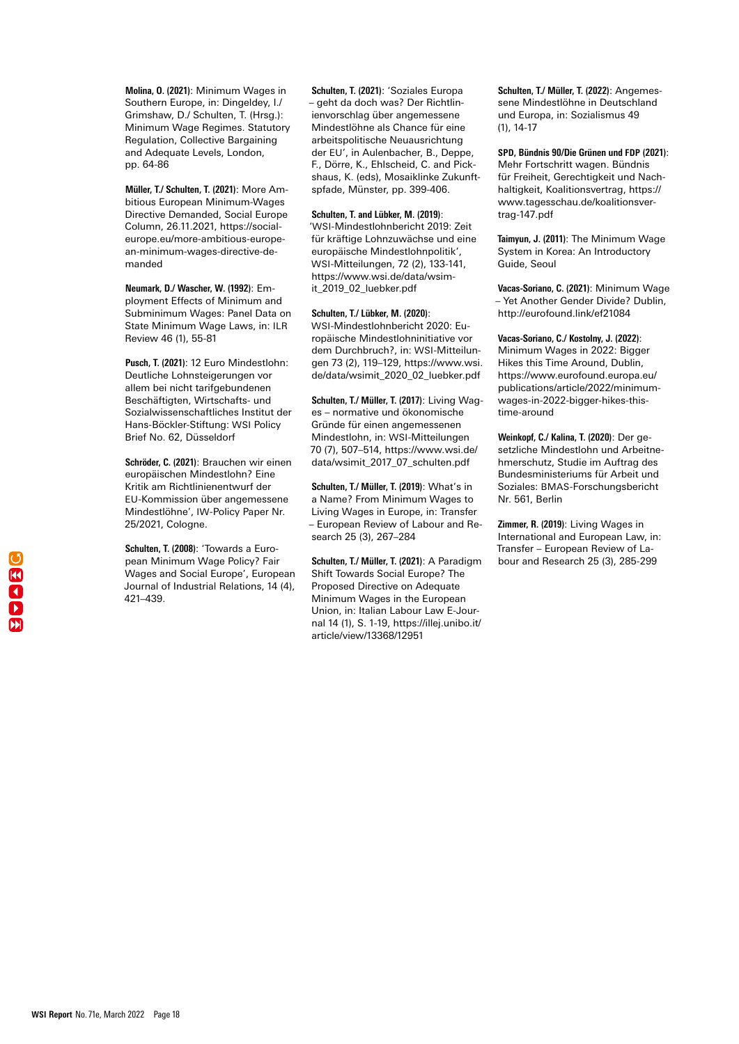**Molina, O. (2021)**: Minimum Wages in Southern Europe, in: Dingeldey, I./ Grimshaw, D./ Schulten, T. (Hrsg.): Minimum Wage Regimes. Statutory Regulation, Collective Bargaining and Adequate Levels, London, pp. 64-86

**Müller, T./ Schulten, T. (2021)**: More Ambitious European Minimum-Wages Directive Demanded, Social Europe Column, 26.11.2021, [https://social](https://socialeurope.eu/more-ambitious-european-minimum-wages-directive-demanded)[europe.eu/more-ambitious-europe](https://socialeurope.eu/more-ambitious-european-minimum-wages-directive-demanded)[an-minimum-wages-directive-de](https://socialeurope.eu/more-ambitious-european-minimum-wages-directive-demanded)[manded](https://socialeurope.eu/more-ambitious-european-minimum-wages-directive-demanded)

**Neumark, D./ Wascher, W. (1992)**: Employment Effects of Minimum and Subminimum Wages: Panel Data on State Minimum Wage Laws, in: ILR Review 46 (1), 55-81

**Pusch, T. (2021)**: 12 Euro Mindestlohn: Deutliche Lohnsteigerungen vor allem bei nicht tarifgebundenen Beschäftigten, Wirtschafts- und Sozialwissenschaftliches Institut der Hans-Böckler-Stiftung: WSI Policy Brief No. 62, Düsseldorf

**Schröder, C. (2021)**: Brauchen wir einen europäischen Mindestlohn? Eine Kritik am Richtlinienentwurf der EU-Kommission über angemessene Mindestlöhne', IW-Policy Paper Nr. 25/2021, Cologne.

**Schulten, T. (2008)**: 'Towards a European Minimum Wage Policy? Fair Wages and Social Europe', European Journal of Industrial Relations, 14 (4), 421–439.

**Schulten, T. (2021)**: 'Soziales Europa – geht da doch was? Der Richtlinienvorschlag über angemessene Mindestlöhne als Chance für eine arbeitspolitische Neuausrichtung der EU', in Aulenbacher, B., Deppe, F., Dörre, K., Ehlscheid, C. and Pickshaus, K. (eds), Mosaiklinke Zukunftspfade, Münster, pp. 399-406.

#### **Schulten, T. and Lübker, M. (2019)**:

'WSI-Mindestlohnbericht 2019: Zeit für kräftige Lohnzuwächse und eine europäische Mindestlohnpolitik', WSI-Mitteilungen, 72 (2), 133-141, https://www.wsi.de/data/wsimit\_2019\_02\_luebker.pdf

#### **Schulten, T./ Lübker, M. (2020)**:

WSI-Mindestlohnbericht 2020: Europäische Mindestlohninitiative vor dem Durchbruch?, in: WSI-Mitteilungen 73 (2), 119–129, https://www.wsi. de/data/wsimit\_2020\_02\_luebker.pdf

**Schulten, T./ Müller, T. (2017)**: Living Wages – normative und ökonomische Gründe für einen angemessenen Mindestlohn, in: WSI-Mitteilungen 70 (7), 507–514, [https://www.wsi.de/](https://www.wsi.de/data/wsimit_2017_07_schulten.pdf) [data/wsimit\\_2017\\_07\\_schulten.pdf](https://www.wsi.de/data/wsimit_2017_07_schulten.pdf)

**Schulten, T./ Müller, T. (2019)**: What's in a Name? From Minimum Wages to Living Wages in Europe, in: Transfer – European Review of Labour and Research 25 (3), 267–284

**Schulten, T./ Müller, T. (2021)**: A Paradigm Shift Towards Social Europe? The Proposed Directive on Adequate Minimum Wages in the European Union, in: Italian Labour Law E-Journal 14 (1), S. 1-19, [https://illej.unibo.it/](https://illej.unibo.it/article/view/13368/12951 ) [article/view/13368/12951](https://illej.unibo.it/article/view/13368/12951 ) 

**Schulten, T./ Müller, T. (2022)**: Angemessene Mindestlöhne in Deutschland und Europa, in: Sozialismus 49 (1), 14-17

**SPD, Bündnis 90/Die Grünen und FDP (2021)**: Mehr Fortschritt wagen. Bündnis für Freiheit, Gerechtigkeit und Nachhaltigkeit, Koalitionsvertrag, [https://](https://www.tagesschau.de/koalitionsvertrag-147.pdf) [www.tagesschau.de/koalitionsver](https://www.tagesschau.de/koalitionsvertrag-147.pdf)[trag-147.pdf](https://www.tagesschau.de/koalitionsvertrag-147.pdf)

**Taimyun, J. (2011)**: The Minimum Wage System in Korea: An Introductory Guide, Seoul

**Vacas-Soriano, C. (2021)**: Minimum Wage – Yet Another Gender Divide? Dublin, http://eurofound.link/ef21084

**Vacas-Soriano, C./ Kostolny, J. (2022)**:

Minimum Wages in 2022: Bigger Hikes this Time Around, Dublin, [https://www.eurofound.europa.eu/](https://www.eurofound.europa.eu/publications/article/2022/minimum-wages-in-2022-bigger-hikes-this-time-around ) [publications/article/2022/minimum](https://www.eurofound.europa.eu/publications/article/2022/minimum-wages-in-2022-bigger-hikes-this-time-around )[wages-in-2022-bigger-hikes-this](https://www.eurofound.europa.eu/publications/article/2022/minimum-wages-in-2022-bigger-hikes-this-time-around )[time-around](https://www.eurofound.europa.eu/publications/article/2022/minimum-wages-in-2022-bigger-hikes-this-time-around ) 

**Weinkopf, C./ Kalina, T. (2020)**: Der gesetzliche Mindestlohn und Arbeitnehmerschutz, Studie im Auftrag des Bundesministeriums für Arbeit und Soziales: BMAS-Forschungsbericht Nr. 561, Berlin

**Zimmer, R. (2019)**: Living Wages in International and European Law, in: Transfer – European Review of Labour and Research 25 (3), 285-299